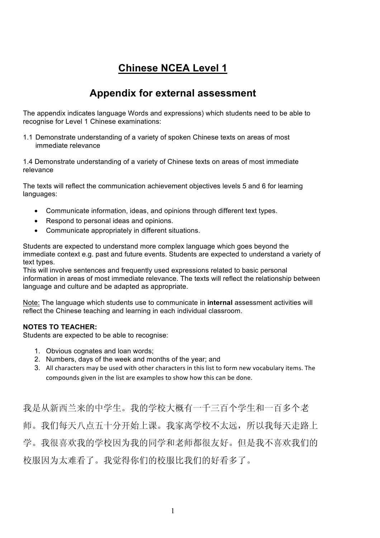## **Chinese NCEA Level 1**

## **Appendix for external assessment**

The appendix indicates language Words and expressions) which students need to be able to recognise for Level 1 Chinese examinations:

1.1 Demonstrate understanding of a variety of spoken Chinese texts on areas of most immediate relevance

1.4 Demonstrate understanding of a variety of Chinese texts on areas of most immediate relevance

The texts will reflect the communication achievement objectives levels 5 and 6 for learning languages:

- Communicate information, ideas, and opinions through different text types.
- Respond to personal ideas and opinions.
- Communicate appropriately in different situations.

Students are expected to understand more complex language which goes beyond the immediate context e.g. past and future events. Students are expected to understand a variety of text types.

This will involve sentences and frequently used expressions related to basic personal information in areas of most immediate relevance. The texts will reflect the relationship between language and culture and be adapted as appropriate.

Note: The language which students use to communicate in **internal** assessment activities will reflect the Chinese teaching and learning in each individual classroom.

#### **NOTES TO TEACHER:**

Students are expected to be able to recognise:

- 1. Obvious cognates and loan words;
- 2. Numbers, days of the week and months of the year; and
- 3. All characters may be used with other characters in this list to form new vocabulary items. The compounds given in the list are examples to show how this can be done.

我是从新西兰来的中学生。我的学校大概有一千三百个学生和一百多个老 师。我们每天八点五十分开始上课。我家离学校不太远,所以我每天走路上 学。我很喜欢我的学校因为我的同学和老师都很友好。但是我不喜欢我们的 校服因为太难看了。我觉得你们的校服比我们的好看多了。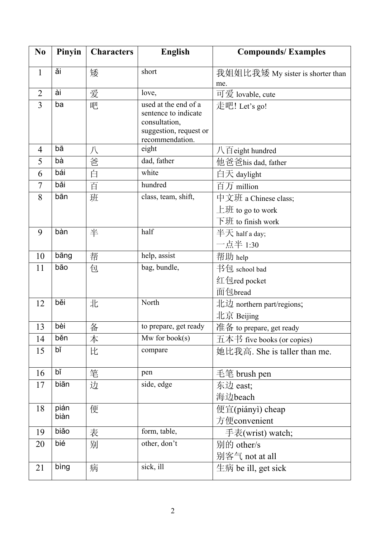| N <sub>0</sub> | Pinyin | <b>Characters</b> | <b>English</b>                                                                                             | <b>Compounds/Examples</b>               |
|----------------|--------|-------------------|------------------------------------------------------------------------------------------------------------|-----------------------------------------|
| $\mathbf{1}$   | ăi     | 矮                 | short                                                                                                      | 我姐姐比我矮 My sister is shorter than<br>me. |
| $\overline{2}$ | ài     | 爱                 | love,                                                                                                      | 可爱 lovable, cute                        |
| $\overline{3}$ | ba     | 吧                 | used at the end of a<br>sentence to indicate<br>consultation,<br>suggestion, request or<br>recommendation. | 走吧! Let's go!                           |
| 4              | bā     | 八                 | eight                                                                                                      | 八百 eight hundred                        |
| 5              | bà     | 爸                 | dad, father                                                                                                | 他爸爸his dad, father                      |
| 6              | bái    | 白                 | white                                                                                                      | 白天 daylight                             |
| $\overline{7}$ | bǎi    | 百                 | hundred                                                                                                    | 百万 million                              |
| 8              | bān    | 班                 | class, team, shift,                                                                                        | 中文班 a Chinese class;                    |
|                |        |                   |                                                                                                            | 上班 to go to work                        |
|                |        |                   |                                                                                                            | 下班 to finish work                       |
| 9              | bàn    | 半                 | half                                                                                                       | 半天 half a day;                          |
|                |        |                   |                                                                                                            | 一点半 1:30                                |
| 10             | bāng   | 帮                 | help, assist                                                                                               | 帮助 help                                 |
| 11             | bāo    | 包                 | bag, bundle,                                                                                               | 书包 school bad                           |
|                |        |                   |                                                                                                            | 红包red pocket                            |
|                |        |                   |                                                                                                            | 面包bread                                 |
| 12             | běi    | 北                 | North                                                                                                      | 北边 northern part/regions;               |
|                |        |                   |                                                                                                            | 北京 Beijing                              |
| 13             | bèi    | 备                 | to prepare, get ready                                                                                      | 准备 to prepare, get ready                |
| 14             | běn    | 本                 | $Mw$ for book(s)                                                                                           | $\pm \pm \pm$ five books (or copies)    |
| 15             | bĭ     | 比                 | compare                                                                                                    | 她比我高. She is taller than me.            |
| 16             | bĭ     | 笔                 | pen                                                                                                        | 毛笔 brush pen                            |
| 17             | biān   | 边                 | side, edge                                                                                                 | 东边 east;                                |
|                |        |                   |                                                                                                            | 海边beach                                 |
| 18             | pián   | 便                 |                                                                                                            | 便宜(piányì) cheap                        |
|                | biàn   |                   |                                                                                                            | 方便convenient                            |
| 19             | biǎo   | 表                 | form, table,                                                                                               | 手表(wrist) watch;                        |
| 20             | bié    | 别                 | other, don't                                                                                               | 别的 other/s                              |
|                |        |                   |                                                                                                            | 别客气 not at all                          |
| 21             | bing   | 病                 | sick, ill                                                                                                  | $\pm$ 病 be ill, get sick                |
|                |        |                   |                                                                                                            |                                         |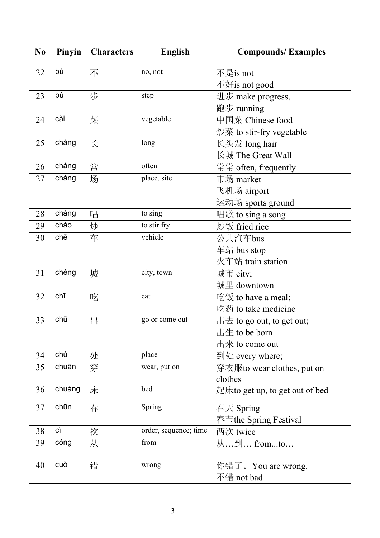| N <sub>0</sub> | Pinyin | <b>Characters</b> | <b>English</b>        | <b>Compounds/Examples</b>      |
|----------------|--------|-------------------|-----------------------|--------------------------------|
| 22             | bù     | 不                 | no, not               | 不是is not                       |
|                |        |                   |                       | 不好is not good                  |
| 23             | bù     | 步                 | step                  | 进步 make progress,              |
|                |        |                   |                       | 跑步 running                     |
| 24             | cài    | 菜                 | vegetable             | 中国菜 Chinese food               |
|                |        |                   |                       | 炒菜 to stir-fry vegetable       |
| 25             | cháng  | 长                 | long                  | 长头发 long hair                  |
|                |        |                   |                       | 长城 The Great Wall              |
| 26             | cháng  | 常                 | often                 | 常常 often, frequently           |
| 27             | chǎng  | 场                 | place, site           | 市场 market                      |
|                |        |                   |                       | 飞机场 airport                    |
|                |        |                   |                       | 运动场 sports ground              |
| 28             | chàng  | 唱                 | to sing               | 唱歌 to sing a song              |
| 29             | chảo   | 炒                 | to stir fry           | 炒饭 fried rice                  |
| 30             | chē    | 车                 | vehicle               | 公共汽车bus                        |
|                |        |                   |                       | 车站 bus stop                    |
|                |        |                   |                       | 火车站 train station              |
| 31             | chéng  | 城                 | city, town            | 城市 city;                       |
|                |        |                   |                       | 城里 downtown                    |
| 32             | chī    | 吃                 | eat                   | 吃饭 to have a meal;             |
|                |        |                   |                       | 吃药 to take medicine            |
| 33             | chū    | 出                 | go or come out        | $H \pm$ to go out, to get out; |
|                |        |                   |                       | 出生 to be born                  |
|                |        |                   |                       | 出来 to come out                 |
| 34             | chù    | 处                 | place                 | 到处 every where;                |
| 35             | chuān  | 穿                 | wear, put on          | 穿衣服to wear clothes, put on     |
|                |        |                   |                       | clothes                        |
| 36             | chuáng | 床                 | bed                   | 起床to get up, to get out of bed |
| 37             | chūn   | 春                 | Spring                | 春天 Spring                      |
|                |        |                   |                       | 春节the Spring Festival          |
| 38             | cì     | 次                 | order, sequence; time | 两次 twice                       |
| 39             | cóng   | 从                 | from                  | 从到 fromto                      |
| 40             | cuò    | 错                 | wrong                 | 你错了。You are wrong.             |
|                |        |                   |                       | 不错 not bad                     |
|                |        |                   |                       |                                |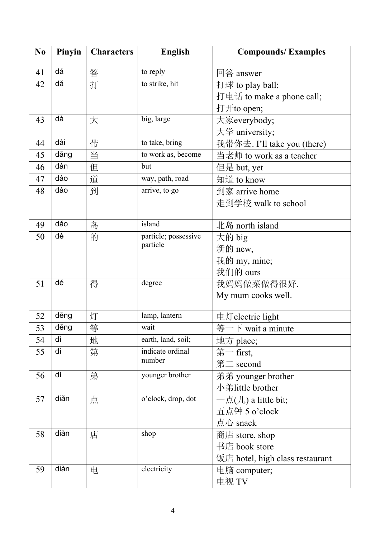| N <sub>0</sub> | Pinyin | <b>Characters</b> | <b>English</b>                   | <b>Compounds/Examples</b>       |
|----------------|--------|-------------------|----------------------------------|---------------------------------|
| 41             | dá     | 答                 | to reply                         | 回答 answer                       |
| 42             | dă     | 打                 | to strike, hit                   | 打球 to play ball;                |
|                |        |                   |                                  | 打电话 to make a phone call;       |
|                |        |                   |                                  | 打开to open;                      |
| 43             | dà     | 大                 | big, large                       | 大家everybody;                    |
|                |        |                   |                                  | 大学 university;                  |
| 44             | dài    | 带                 | to take, bring                   | 我带你去. I'll take you (there)     |
| 45             | dāng   | 当                 | to work as, become               | 当老师 to work as a teacher        |
| 46             | dàn    | 但                 | but                              | 但是 but, yet                     |
| 47             | dào    | 道                 | way, path, road                  | 知道 to know                      |
| 48             | dào    | 到                 | arrive, to go                    | 到家 arrive home                  |
|                |        |                   |                                  | 走到学校 walk to school             |
|                |        |                   |                                  |                                 |
| 49             | dǎo    | 岛                 | island                           | 北岛 north island                 |
| 50             | dè     | 的                 | particle; possessive<br>particle | 大的 big                          |
|                |        |                   |                                  | 新的 new,                         |
|                |        |                   |                                  | 我的 my, mine;                    |
|                |        |                   |                                  | 我们的 ours                        |
| 51             | dé     | 得                 | degree                           | 我妈妈做菜做得很好.                      |
|                |        |                   |                                  | My mum cooks well.              |
| 52             | dēng   | 灯                 | lamp, lantern                    | 电灯 electric light               |
| 53             | děng   | 等                 | wait                             | 等一下 wait a minute               |
| 54             | dì     | 地                 | earth, land, soil;               | 地方 place;                       |
| 55             | dì     | 第                 | indicate ordinal                 | 第一 first,                       |
|                |        |                   | number                           | 第二 second                       |
| 56             | dì     | 弟                 | younger brother                  | 弟弟 younger brother              |
|                |        |                   |                                  | 小弟little brother                |
| 57             | diǎn   | 点                 | o'clock, drop, dot               | 一点(儿) a little bit;             |
|                |        |                   |                                  | 五点钟 5 o'clock                   |
|                |        |                   |                                  | 点心 snack                        |
| 58             | diàn   | 店                 | shop                             | 商店 store, shop                  |
|                |        |                   |                                  | 书店 book store                   |
|                |        |                   |                                  | 饭店 hotel, high class restaurant |
| 59             | diàn   | 电                 | electricity                      | 电脑 computer;                    |
|                |        |                   |                                  | 电视 TV                           |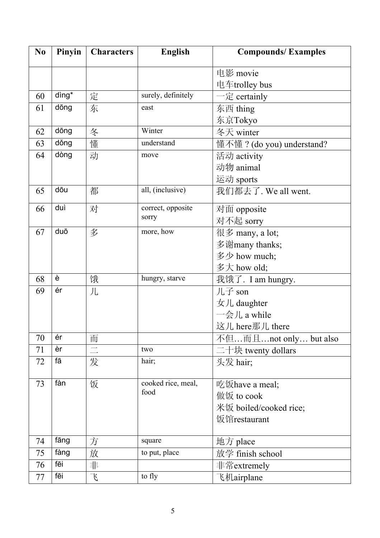| N <sub>0</sub> | Pinyin | <b>Characters</b> | <b>English</b>     | <b>Compounds/Examples</b> |
|----------------|--------|-------------------|--------------------|---------------------------|
|                |        |                   |                    | 电影 movie                  |
|                |        |                   |                    | 电车trolley bus             |
| 60             | dìng*  | 定                 | surely, definitely | 一定 certainly              |
| 61             | dōng   | 东                 | east               | 东西 thing                  |
|                |        |                   |                    | 东京Tokyo                   |
| 62             | dōng   | 冬                 | Winter             | 冬天 winter                 |
| 63             | dǒng   | 懂                 | understand         | 懂不懂? (do you) understand? |
| 64             | dòng   | 动                 | move               | 活动 activity               |
|                |        |                   |                    | 动物 animal                 |
|                |        |                   |                    | 运动 sports                 |
| 65             | dōu    | 都                 | all, (inclusive)   | 我们都去了. We all went.       |
| 66             | duì    | 对                 | correct, opposite  | 对面 opposite               |
|                |        |                   | sorry              | 对不起 sorry                 |
| 67             | duō    | 多                 | more, how          | 很多 many, a lot;           |
|                |        |                   |                    | 多谢many thanks;            |
|                |        |                   |                    | 多少 how much;              |
|                |        |                   |                    | 多大 how old;               |
| 68             | è      | 饿                 | hungry, starve     | 我饿了. I am hungry.         |
| 69             | ér     | 儿                 |                    | 儿子 son                    |
|                |        |                   |                    | 女儿 daughter               |
|                |        |                   |                    | 一会儿 a while               |
|                |        |                   |                    | 这儿 here那儿 there           |
| 70             | ér     | 而                 |                    | 不但而且not only but also     |
| 71             | èr     |                   | two                | 二十块 twenty dollars        |
| 72             | fā     | 发                 | hair;              | 头发 hair;                  |
| 73             | fàn    | 饭                 | cooked rice, meal, | 吃饭have a meal;            |
|                |        |                   | food               | 做饭 to cook                |
|                |        |                   |                    | 米饭 boiled/cooked rice;    |
|                |        |                   |                    | 饭馆restaurant              |
| 74             | fāng   | 方                 | square             | 地方 place                  |
| 75             | fàng   | 放                 | to put, place      | 放学 finish school          |
| 76             | fēi    | 非                 |                    | 非常extremely               |
| 77             | fēi    | $\mathcal{F}$     | to fly             | 飞机airplane                |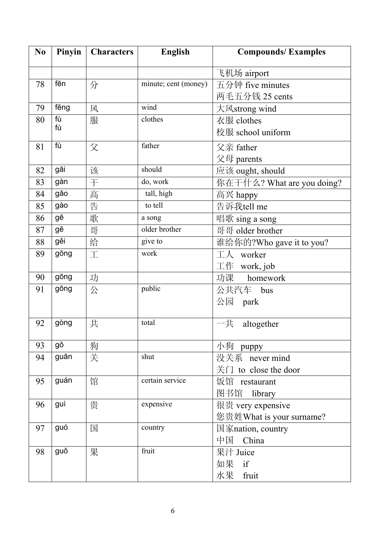| N <sub>0</sub> | Pinyin | <b>Characters</b> | <b>English</b>       | <b>Compounds/Examples</b>                      |
|----------------|--------|-------------------|----------------------|------------------------------------------------|
|                |        |                   |                      | 飞机场 airport                                    |
| 78             | fēn    | 分                 | minute; cent (money) | 五分钟 five minutes                               |
|                |        |                   |                      | 两毛五分钱 25 cents                                 |
| 79             | fēng   | 风                 | wind                 | 大风strong wind                                  |
| 80             | fù     | 服                 | clothes              | 衣服 clothes                                     |
|                | fú     |                   |                      | 校服 school uniform                              |
| 81             | fù     | 父                 | father               | 父亲 father                                      |
|                |        |                   |                      | 父母 parents                                     |
| 82             | gāi    | 该                 | should               | 应该 ought, should                               |
| 83             | gàn    | 干                 | do, work             | 你在干什么? What are you doing?                     |
| 84             | gāo    | 高                 | tall, high           | 高兴 happy                                       |
| 85             | gào    | 告                 | to tell              | 告诉我tell me                                     |
| 86             | gē     | 歌                 | a song               | 唱歌 sing a song                                 |
| 87             | gē     | 哥                 | older brother        | 哥哥 older brother                               |
| 88             | gěi    | 给                 | give to              | 谁给你的?Who gave it to you?                       |
| 89             | gōng   | 工                 | work                 | 工人<br>worker                                   |
|                |        |                   |                      | $\perp$ $\#$ work, job                         |
| 90             | gōng   | 功                 |                      | 功课<br>homework                                 |
| 91             | gōng   | 公                 | public               | 公共汽车 bus                                       |
|                |        |                   |                      | 公园 park                                        |
| 92             | gòng   |                   | total                |                                                |
|                |        | 共                 |                      | 一共<br>altogether                               |
| 93             | gŏ     | 狗                 |                      | 小狗 puppy                                       |
| 94             | guān   | 关                 | shut                 | 没关系 never mind                                 |
|                |        |                   |                      | $\angle$ $\angle$ $\angle$ T to close the door |
| 95             | guán   | 馆                 | certain service      | 饭馆 restaurant                                  |
|                |        |                   |                      | 图书馆 library                                    |
| 96             | guì    | 贵                 | expensive            | 很贵 very expensive                              |
|                |        |                   |                      | 您贵姓What is your surname?                       |
| 97             | guó    | 国                 | country              | 国家nation, country                              |
|                |        |                   |                      | 中国<br>China                                    |
| 98             | guǒ    | 果                 | fruit                | 果汁 Juice                                       |
|                |        |                   |                      | 如果 if                                          |
|                |        |                   |                      | 水果 fruit                                       |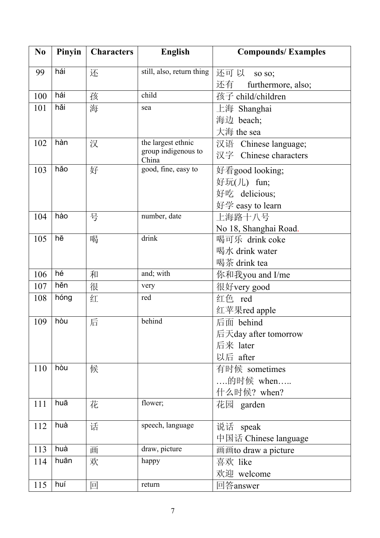| N <sub>0</sub> | Pinyin | <b>Characters</b> | <b>English</b>               | <b>Compounds/Examples</b> |
|----------------|--------|-------------------|------------------------------|---------------------------|
| 99             | hái    | 还                 | still, also, return thing    | 还可 以<br>so so;            |
|                |        |                   |                              | 还有<br>furthermore, also;  |
| 100            | hái    | 孩                 | child                        | 孩子 child/children         |
| 101            | hǎi    | 海                 | sea                          | 上海 Shanghai               |
|                |        |                   |                              | 海边 beach;                 |
|                |        |                   |                              | 大海 the sea                |
| 102            | hàn    | 汉                 | the largest ethnic           | 汉语 Chinese language;      |
|                |        |                   | group indigenous to<br>China | 汉字 Chinese characters     |
| 103            | hǎo    | 好                 | good, fine, easy to          | 好看good looking;           |
|                |        |                   |                              | 好玩(儿) fun;                |
|                |        |                   |                              | 好吃 delicious;             |
|                |        |                   |                              | 好学 easy to learn          |
| 104            | hào    | 号                 | number, date                 | 上海路十八号                    |
|                |        |                   |                              | No 18, Shanghai Road.     |
| 105            | hē     | 喝                 | drink                        | 喝可乐 drink coke            |
|                |        |                   |                              | 喝水 drink water            |
|                |        |                   |                              | 喝茶 drink tea              |
| 106            | hé     | 和                 | and; with                    | 你和我you and I/me           |
| 107            | hěn    | 很                 | very                         | 很好very good               |
| 108            | hóng   | 红                 | red                          | 红色 red                    |
|                |        |                   |                              | 红苹果red apple              |
| 109            | hòu    | 后                 | behind                       | 后面 behind                 |
|                |        |                   |                              | 后天day after tomorrow      |
|                |        |                   |                              | 后来 later                  |
|                |        |                   |                              | 以后 after                  |
| 110            | hòu    | 候                 |                              | 有时候 sometimes             |
|                |        |                   |                              | 的时候 when                  |
|                |        |                   |                              | 什么时候? when?               |
| 111            | huā    | 花                 | flower;                      | 花园 garden                 |
| 112            | huà    | 话                 | speech, language             | 说话 speak                  |
|                |        |                   |                              | 中国话 Chinese language      |
| 113            | huà    | 画                 | draw, picture                | 画画to draw a picture       |
| 114            | huān   | 欢                 | happy                        | 喜欢 like                   |
|                |        |                   |                              | 欢迎 welcome                |
| 115            | huí    | 回                 | return                       | 回答answer                  |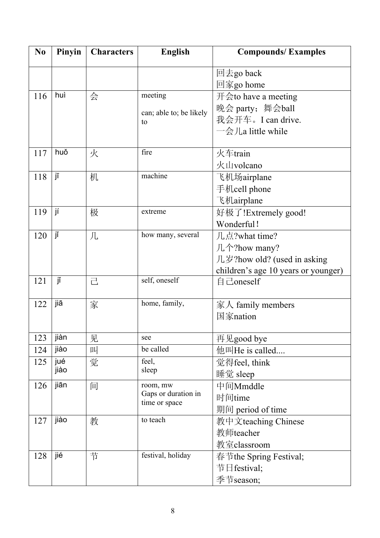| N <sub>0</sub> | Pinyin | <b>Characters</b> | <b>English</b>                       | <b>Compounds/Examples</b>                       |
|----------------|--------|-------------------|--------------------------------------|-------------------------------------------------|
|                |        |                   |                                      | 回去go back                                       |
|                |        |                   |                                      | 回家go home                                       |
| 116            | huì    | 会                 | meeting                              | $\#\text{f}$ a meeting                          |
|                |        |                   | can; able to; be likely              | 晚会 party; 舞会ball                                |
|                |        |                   | to                                   | 我会开车。I can drive.                               |
|                |        |                   |                                      | $-\frac{\triangle}{\triangle}$ /La little while |
|                |        |                   |                                      |                                                 |
| 117            | huǒ    | 火                 | fire                                 | 火车train                                         |
|                |        |                   |                                      | 火山volcano                                       |
| 118            | jī     | 机                 | machine                              | 飞机场airplane                                     |
|                |        |                   |                                      | 手机cell phone                                    |
|                |        |                   |                                      | 飞机airplane                                      |
| 119            | jí     | 极                 | extreme                              | 好极了!Extremely good!                             |
|                |        |                   |                                      | Wonderful!                                      |
| 120            | jĭ     | 几                 | how many, several                    | 几点?what time?                                   |
|                |        |                   |                                      | 几个?how many?                                    |
|                |        |                   |                                      | 几岁?how old? (used in asking                     |
|                |        |                   |                                      | children's age 10 years or younger)             |
| 121            | jĭ     | 己                 | self, oneself                        | 自己oneself                                       |
| 122            | jiā    | 家                 | home, family,                        | 家人 family members                               |
|                |        |                   |                                      | 国家nation                                        |
|                |        |                   |                                      |                                                 |
| 123            | jiàn   | 见                 | see                                  | 再见good bye                                      |
| 124            | jiào   | 叫                 | be called                            | 他叫He is called                                  |
| 125            | jué    | 觉                 | feel,                                | 觉得feel, think                                   |
|                | jiào   |                   | sleep                                | 睡觉 sleep                                        |
| 126            | jiān   | 间                 | room, mw                             | 中间Mmddle                                        |
|                |        |                   | Gaps or duration in<br>time or space | 时间time                                          |
|                |        |                   |                                      | 期间 period of time                               |
| 127            | jiào   | 教                 | to teach                             | 教中文teaching Chinese                             |
|                |        |                   |                                      | 教师teacher                                       |
|                |        |                   |                                      | 教室classroom                                     |
| 128            | jié    | 节                 | festival, holiday                    | 春节the Spring Festival;                          |
|                |        |                   |                                      | 节日festival;                                     |
|                |        |                   |                                      | 季节season;                                       |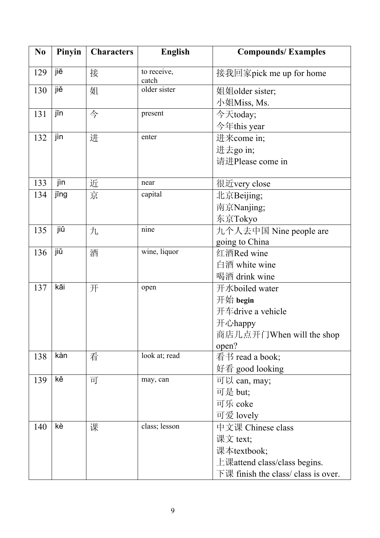| N <sub>0</sub> | Pinyin | <b>Characters</b> | <b>English</b>       | <b>Compounds/Examples</b>           |
|----------------|--------|-------------------|----------------------|-------------------------------------|
| 129            | jiē    | 接                 | to receive,<br>catch | 接我回家pick me up for home             |
| 130            | jiě    | 姐                 | older sister         | 姐姐older sister;                     |
|                |        |                   |                      | 小姐Miss, Ms.                         |
| 131            | jīn    | 今                 | present              | 今天today;                            |
|                |        |                   |                      | 今年this year                         |
| 132            | jìn    | 进                 | enter                | 进来come in;                          |
|                |        |                   |                      | 进去go in;                            |
|                |        |                   |                      | 请进Please come in                    |
|                |        |                   |                      |                                     |
| 133            | jìn    | 近                 | near                 | 很近very close                        |
| 134            | jīng   | 京                 | capital              | 北京Beijing;                          |
|                |        |                   |                      | 南京Nanjing;                          |
|                |        |                   |                      | 东京Tokyo                             |
| 135            | jiŭ    | 九                 | nine                 | 九个人去中国 Nine people are              |
|                |        |                   |                      | going to China                      |
| 136            | jiŭ    | 酒                 | wine, liquor         | 红酒Red wine                          |
|                |        |                   |                      | 白酒 white wine                       |
|                |        |                   |                      | 喝酒 drink wine                       |
| 137            | kāi    | 开                 | open                 | 开水boiled water                      |
|                |        |                   |                      | 开始 begin                            |
|                |        |                   |                      | 开车drive a vehicle                   |
|                |        |                   |                      | 开心happy                             |
|                |        |                   |                      | 商店几点开门When will the shop            |
|                |        |                   |                      | open?                               |
| 138            | kàn    | 看                 | look at; read        | 看书 read a book;                     |
|                |        |                   |                      | 好看 good looking                     |
| 139            | kě     | 可                 | may, can             | 可以 can, may;                        |
|                |        |                   |                      | 可是 but;                             |
|                |        |                   |                      | 可乐 coke                             |
|                |        |                   |                      | 可爱 lovely                           |
| 140            | kè     | 课                 | class; lesson        | 中文课 Chinese class                   |
|                |        |                   |                      | 课文 text;                            |
|                |        |                   |                      | 课本textbook;                         |
|                |        |                   |                      | 上课attend class/class begins.        |
|                |        |                   |                      | 下课 finish the class/ class is over. |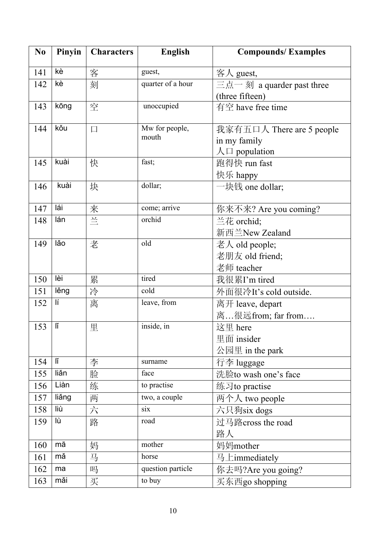| N <sub>0</sub> | Pinyin | <b>Characters</b> | <b>English</b>    | <b>Compounds/Examples</b>  |
|----------------|--------|-------------------|-------------------|----------------------------|
| 141            | kè     | 客                 | guest,            | 客人 guest,                  |
| 142            | kè     | 刻                 | quarter of a hour | 三点一 刻 a quarder past three |
|                |        |                   |                   | (three fifteen)            |
| 143            | kōng   | 空                 | unoccupied        | 有空 have free time          |
| 144            | kŏu    | $\Box$            | Mw for people,    | 我家有五口人 There are 5 people  |
|                |        |                   | mouth             | in my family               |
|                |        |                   |                   | $\land \Box$ population    |
| 145            | kuài   | 快                 | fast;             | 跑得快 run fast               |
|                |        |                   |                   | 快乐 happy                   |
| 146            | kuài   | 块                 | dollar;           | 一块钱 one dollar;            |
| 147            | lái    | 来                 | come; arrive      | 你来不来? Are you coming?      |
| 148            | lán    | $\equiv$          | orchid            | 兰花 orchid;                 |
|                |        |                   |                   | 新西兰New Zealand             |
| 149            | lăo    | 老                 | old               | 老人 old people;             |
|                |        |                   |                   | 老朋友 old friend;            |
|                |        |                   |                   | 老师 teacher                 |
| 150            | lèi    | 累                 | tired             | 我很累I'm tired               |
| 151            | lěng   | 冷                 | cold              | 外面很冷It's cold outside.     |
| 152            | lí     | 离                 | leave, from       | 离开 leave, depart           |
|                |        |                   |                   | 离很远from; far from          |
| 153            | ľĬ     | 里                 | inside, in        | 这里 here                    |
|                |        |                   |                   | 里面 insider                 |
|                |        |                   |                   | 公园里 in the park            |
| 154            | lĭ     | 李                 | surname           | 行李 luggage                 |
| 155            | liǎn   | 脸                 | face              | 洗脸to wash one's face       |
| 156            | Liàn   | 练                 | to practise       | 练习to practise              |
| 157            | liǎng  | 两                 | two, a couple     | 两个人 two people             |
| 158            | liù    | 六                 | six               | 六只狗six dogs                |
| 159            | lù     | 路                 | road              | 过马路cross the road          |
|                |        |                   |                   | 路人                         |
| 160            | mā     | 妈                 | mother            | 妈妈mother                   |
| 161            | mă     | 马                 | horse             | 马上immediately              |
| 162            | ma     | 吗                 | question particle | 你去吗?Are you going?         |
| 163            | mǎi    | 买                 | to buy            | 买东西go shopping             |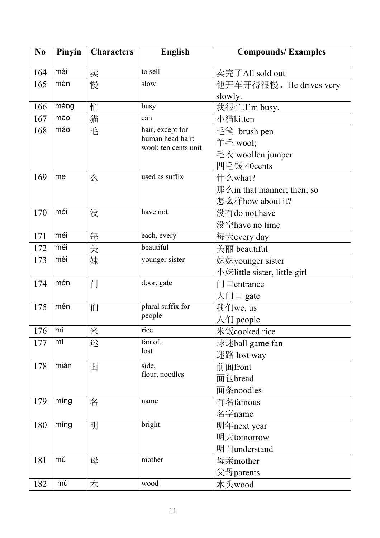| N <sub>0</sub> | Pinyin | <b>Characters</b> | <b>English</b>                           | <b>Compounds/Examples</b>                            |
|----------------|--------|-------------------|------------------------------------------|------------------------------------------------------|
| 164            | mài    | 卖                 | to sell                                  | 卖完了All sold out                                      |
| 165            | màn    | 慢                 | slow                                     | 他开车开得很慢。He drives very                               |
|                |        |                   |                                          | slowly.                                              |
| 166            | máng   | 忙                 | busy                                     | 我很忙.I'm busy.                                        |
| 167            | māo    | 猫                 | can                                      | 小猫kitten                                             |
| 168            | máo    | 毛                 | hair, except for                         | 毛笔 brush pen                                         |
|                |        |                   | human head hair;<br>wool; ten cents unit | 羊毛 wool;                                             |
|                |        |                   |                                          | 毛衣 woollen jumper                                    |
|                |        |                   |                                          | 四毛钱 40cents                                          |
| 169            | me     | 么                 | used as suffix                           | 什么what?                                              |
|                |        |                   |                                          | $\frac{3}{4}$ $\frac{3}{4}$ in that manner; then; so |
|                |        |                   |                                          | 怎么样how about it?                                     |
| 170            | méi    | 没                 | have not                                 | 没有do not have                                        |
|                |        |                   |                                          | 没空have no time                                       |
| 171            | měi    | 每                 | each, every                              | 每天every day                                          |
| 172            | měi    | 美                 | beautiful                                | 美丽 beautiful                                         |
| 173            | mèi    | 妹                 | younger sister                           | 妹妹younger sister                                     |
|                |        |                   |                                          | 小妹little sister, little girl                         |
| 174            | mén    | 门                 | door, gate                               | $\Box$ $\Box$ entrance                               |
|                |        |                   |                                          | 大门口 gate                                             |
| 175            | mén    | 们                 | plural suffix for                        | 我们we, us                                             |
|                |        |                   | people                                   | $\bigwedge$ i people                                 |
| $176$   mǐ     |        | 米                 | rice                                     | 米饭cooked rice                                        |
| 177            | mí     | 迷                 | fan of                                   | 球迷ball game fan                                      |
|                |        |                   | lost                                     | 迷路 lost way                                          |
| 178            | miàn   | 面                 | side,                                    | 前面front                                              |
|                |        |                   | flour, noodles                           | 面包bread                                              |
|                |        |                   |                                          | 面条noodles                                            |
| 179            | míng   | 名                 | name                                     | 有名famous                                             |
|                |        |                   |                                          | 名字name                                               |
| 180            | míng   | 明                 | bright                                   | 明年next year                                          |
|                |        |                   |                                          | 明天tomorrow                                           |
|                |        |                   |                                          | 明白understand                                         |
| 181            | mŭ     | 母                 | mother                                   | 母亲mother                                             |
|                |        |                   |                                          | 父母parents                                            |
| 182            | mù     | 木                 | wood                                     | 木头wood                                               |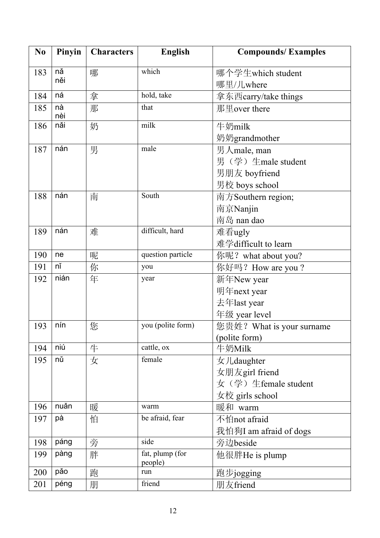| N <sub>0</sub> | Pinyin    | <b>Characters</b> | <b>English</b>             | <b>Compounds/Examples</b> |
|----------------|-----------|-------------------|----------------------------|---------------------------|
| 183            | nă        | 哪                 | which                      | 哪个学生which student         |
|                | něi       |                   |                            | 哪里/儿where                 |
| 184            | ná        | 拿                 | hold, take                 | 拿东西carry/take things      |
| 185            | nà<br>nèi | 那                 | that                       | 那里over there              |
| 186            | nǎi       | 奶                 | milk                       | 牛奶milk                    |
|                |           |                   |                            | 奶奶grandmother             |
| 187            | nán       | 男                 | male                       | 男人male, man               |
|                |           |                   |                            | 男(学) 生male student        |
|                |           |                   |                            | 男朋友 boyfriend             |
|                |           |                   |                            | 男校 boys school            |
| 188            | nán       | 南                 | South                      | 南方Southern region;        |
|                |           |                   |                            | 南京Nanjin                  |
|                |           |                   |                            | 南岛 nan dao                |
| 189            | nán       | 难                 | difficult, hard            | 难看ugly                    |
|                |           |                   |                            | 难学difficult to learn      |
| 190            | ne        | 呢                 | question particle          | 你呢? what about you?       |
| 191            | nĭ        | 你                 | you                        | 你好吗? How are you?         |
| 192            | nián      | 年                 | year                       | 新年New year                |
|                |           |                   |                            | 明年next year               |
|                |           |                   |                            | 去年last year               |
|                |           |                   |                            | 年级 year level             |
| 193            | nín       | 您                 | you (polite form)          | 您贵姓? What is your surname |
|                |           |                   |                            | (polite form)             |
| 194            | niú       | 牛                 | cattle, ox                 | 牛奶Milk                    |
| 195            | nŭ        | 女                 | female                     | 女儿daughter                |
|                |           |                   |                            | 女朋友girl friend            |
|                |           |                   |                            | 女(学)生female student       |
|                |           |                   |                            | 女校 girls school           |
| 196            | nuǎn      | 暖                 | warm                       | 暖和 warm                   |
| 197            | pà        | 怕                 | be afraid, fear            | 不怕not afraid              |
|                |           |                   |                            | 我怕狗I am afraid of dogs    |
| 198            | páng      | 旁                 | side                       | 旁边beside                  |
| 199            | pàng      | 胖                 | fat, plump (for<br>people) | 他很胖He is plump            |
| 200            | păo       | 跑                 | run                        | 跑步jogging                 |
| 201            | péng      | 朋                 | friend                     | 朋友friend                  |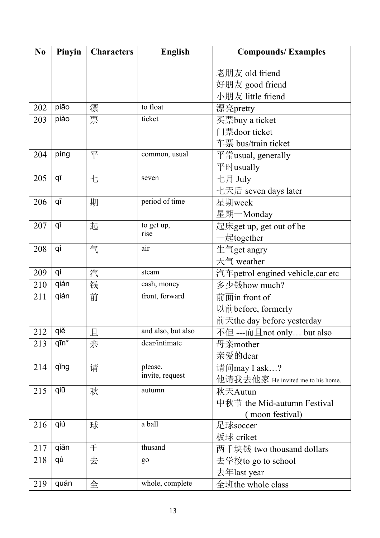| N <sub>0</sub> | Pinyin        | <b>Characters</b> | <b>English</b>     | <b>Compounds/Examples</b>          |
|----------------|---------------|-------------------|--------------------|------------------------------------|
|                |               |                   |                    | 老朋友 old friend                     |
|                |               |                   |                    | 好朋友 good friend                    |
|                |               |                   |                    | 小朋友 little friend                  |
| 202            | pião          | 漂                 | to float           | 漂亮pretty                           |
| 203            | piào          | 票                 | ticket             | 买票buy a ticket                     |
|                |               |                   |                    | 门票door ticket                      |
|                |               |                   |                    | 车票 bus/train ticket                |
| 204            | píng          | 平                 | common, usual      | 平常usual, generally                 |
|                |               |                   |                    | 平时usually                          |
| 205            | qī            | 七                 | seven              | 七月 July                            |
|                |               |                   |                    | 七天后 seven days later               |
| 206            | qī            | 期                 | period of time     | 星期week                             |
|                |               |                   |                    | 星期一Monday                          |
| 207            | qĭ            | 起                 | to get up,         | 起床get up, get out of be            |
|                |               |                   | rise               | 一起together                         |
| 208            | qì            | 气                 | air                | 生气get angry                        |
|                |               |                   |                    | 天气 weather                         |
| 209            | qì            | 汽                 | steam              | 汽车 petrol engined vehicle, car etc |
| 210            | qián          | 钱                 | cash, money        | 多少钱how much?                       |
| 211            | qián          | 前                 | front, forward     | 前面in front of                      |
|                |               |                   |                    | 以前before, formerly                 |
|                |               |                   |                    | 前天the day before yesterday         |
| 212            | qiě           | 且                 | and also, but also | 不但 ---而且not only but also          |
| 213            | $q\bar{p}n^*$ | 亲                 | dear/intimate      | 母亲mother                           |
|                |               |                   |                    | 亲爱的dear                            |
| 214            | qing          | 请                 | please,            | 请问may I ask?                       |
|                |               |                   | invite, request    | 他请我去他家 He invited me to his home.  |
| 215            | qiū           | 秋                 | autumn             | 秋天Autun                            |
|                |               |                   |                    | 中秋节 the Mid-autumn Festival        |
|                |               |                   |                    | moon festival)                     |
| 216            | qiú           | 球                 | a ball             | 足球soccer                           |
|                |               |                   |                    | 板球 criket                          |
| 217            | qiān          | 千                 | thusand            | 两千块钱 two thousand dollars          |
| 218            | qù            | 去                 | g <sub>o</sub>     | 去学校to go to school                 |
|                |               |                   |                    | 去年last year                        |
| 219            | quán          | 全                 | whole, complete    | 全班the whole class                  |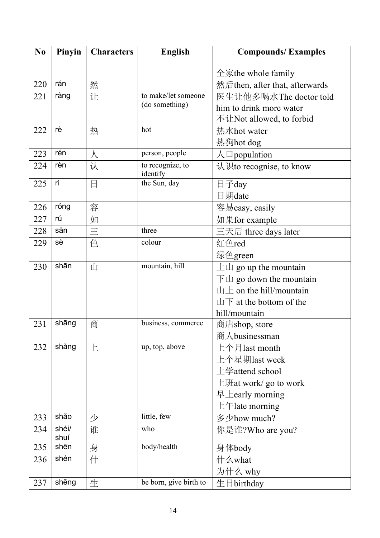| N <sub>0</sub> | Pinyin        | <b>Characters</b> | <b>English</b>               | <b>Compounds/Examples</b>                  |  |
|----------------|---------------|-------------------|------------------------------|--------------------------------------------|--|
|                |               |                   |                              | 全家the whole family                         |  |
| 220            | rán           | 然                 |                              | 然后then, after that, afterwards             |  |
| 221            | ràng          | 让                 | to make/let someone          | 医生让他多喝水The doctor told                     |  |
|                |               |                   | (do something)               | him to drink more water                    |  |
|                |               |                   |                              | 不让Not allowed, to forbid                   |  |
| 222            | rè            | 热                 | hot                          | 热水hot water                                |  |
|                |               |                   |                              | 热狗hot dog                                  |  |
| 223            | rén           | $\lambda$         | person, people               | $\bigwedge \Box$ population                |  |
| 224            | rèn           | 认                 | to recognize, to<br>identify | 认识to recognise, to know                    |  |
| 225            | rì            | 日                 | the Sun, day                 | 日子day                                      |  |
|                |               |                   |                              | 日期date                                     |  |
| 226            | róng          | 容                 |                              | 容易easy, easily                             |  |
| 227            | rú            | 如                 |                              | 如果for example                              |  |
| 228            | sān           | $\equiv$          | three                        | 三天后 three days later                       |  |
| 229            | sè            | 色                 | colour                       | 红色red                                      |  |
|                |               |                   |                              | 绿色green                                    |  |
| 230            | shān          | 山                 | mountain, hill               | $\pm \mu$ go up the mountain               |  |
|                |               |                   |                              | $\top \mathbf{\perp}$ go down the mountain |  |
|                |               |                   |                              | $\pm$ on the hill/mountain                 |  |
|                |               |                   |                              | $\mathbf{\perp}$ at the bottom of the      |  |
|                |               |                   |                              | hill/mountain                              |  |
| 231            | shāng         | 商                 | business, commerce           | 商店shop, store                              |  |
|                |               |                   |                              | 商人businessman                              |  |
| 232            | shàng         | 上                 | up, top, above               | 上个月last month                              |  |
|                |               |                   |                              | 上个星期last week                              |  |
|                |               |                   |                              | 上学attend school                            |  |
|                |               |                   |                              | $\pm$ <i>H</i> at work/ go to work         |  |
|                |               |                   |                              | 早 $\pm$ early morning                      |  |
|                |               |                   |                              | $\pm$ $\pm$ late morning                   |  |
| 233            | shǎo          | 少                 | little, few                  | 多少how much?                                |  |
| 234            | shéi/<br>shuí | 谁                 | who                          | 你是谁?Who are you?                           |  |
| 235            | shēn          | 身                 | body/health                  | 身体body                                     |  |
| 236            | shén          | 什                 |                              | 什么what                                     |  |
|                |               |                   |                              | 为什么 why                                    |  |
| 237            | shēng         | 生                 | be born, give birth to       | 生日birthday                                 |  |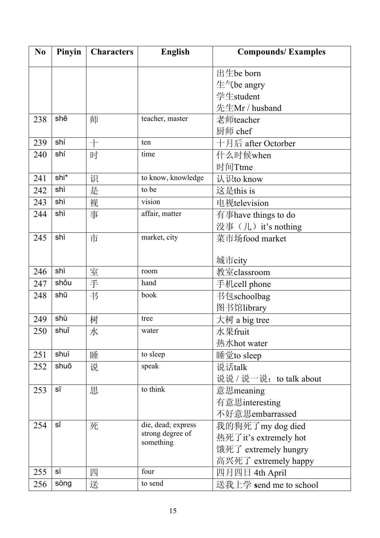| N <sub>0</sub> | Pinyin | <b>Characters</b> | <b>English</b>                         | <b>Compounds/Examples</b> |
|----------------|--------|-------------------|----------------------------------------|---------------------------|
|                |        |                   |                                        | 出生be born                 |
|                |        |                   |                                        | 生气be angry                |
|                |        |                   |                                        | 学生student                 |
|                |        |                   |                                        | 先生Mr / husband            |
| 238            | shē    | 师                 | teacher, master                        | 老师teacher                 |
|                |        |                   |                                        | 厨师 chef                   |
| 239            | shí    | $+$               | ten                                    | 十月后 after Octorber        |
| 240            | shí    | 时                 | time                                   | 什么时候when                  |
|                |        |                   |                                        | 时间Ttme                    |
| 241            | shi*   | 识                 | to know, knowledge                     | 认识to know                 |
| 242            | shì    | 是                 | to be                                  | 这是this is                 |
| 243            | shì    | 视                 | vision                                 | 电视television              |
| 244            | shì    | 事                 | affair, matter                         | 有事have things to do       |
|                |        |                   |                                        | 没事(儿) it's nothing        |
| 245            | shì    | 市                 | market, city                           | 菜市场food market            |
|                |        |                   |                                        |                           |
|                |        |                   |                                        | 城市city                    |
| 246            | shì    | 室                 | room                                   | 教室classroom               |
| 247            | shǒu   | 手                 | hand                                   | 手机cell phone              |
| 248            | shū    | 书                 | book                                   | 书包schoolbag               |
|                |        |                   |                                        | 图书馆library                |
| 249            | shù    | 树                 | tree                                   | 大树 a big tree             |
| 250            | shuĭ   | 水                 | water                                  | 水果fruit                   |
|                |        |                   |                                        | 热水hot water               |
| 251            | shuì   | 睡                 | to sleep                               | 睡觉to sleep                |
| 252            | shuō   | 说                 | speak                                  | 说话talk                    |
|                |        |                   |                                        | 说说 / 说一说: to talk about   |
| 253            | SĪ     | 思                 | to think                               | 意思meaning                 |
|                |        |                   |                                        | 有意思interesting            |
|                |        |                   |                                        | 不好意思embarrassed           |
| 254            | sĭ     | 死                 | die, dead; express<br>strong degree of | 我的狗死了my dog died          |
|                |        |                   | something                              | 热死了it's extremely hot     |
|                |        |                   |                                        | 饿死了 extremely hungry      |
|                |        |                   |                                        | 高兴死了 extremely happy      |
| 255            | sì     | 四                 | four                                   | 四月四日 4th April            |
| 256            | sòng   | 送                 | to send                                | 送我上学 send me to school    |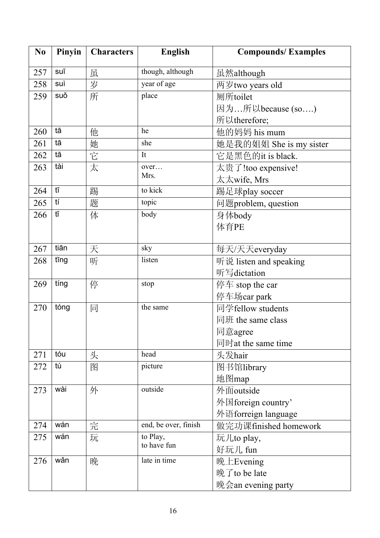| N <sub>0</sub> | Pinyin | <b>Characters</b> | <b>English</b>          | <b>Compounds/Examples</b> |  |
|----------------|--------|-------------------|-------------------------|---------------------------|--|
| 257            | suī    | 虽                 | though, although        | 虽然although                |  |
| 258            | suì    | 岁                 | year of age             | 两岁two years old           |  |
| 259            | suǒ    | 所                 | place                   | 厕所toilet                  |  |
|                |        |                   |                         | 因为所以because (so)          |  |
|                |        |                   |                         | 所以therefore;              |  |
| 260            | tā     | 他                 | he                      | 他的妈妈 his mum              |  |
| 261            | tā     | 她                 | she                     | 她是我的姐姐 She is my sister   |  |
| 262            | tā     | 它                 | It                      | 它是黑色的it is black.         |  |
| 263            | tài    | 太                 | over                    | 太贵了!too expensive!        |  |
|                |        |                   | Mrs.                    | 太太wife, Mrs               |  |
| 264            | tī     | 踢                 | to kick                 | 踢足球play soccer            |  |
| 265            | tí     | 题                 | topic                   | 问题problem, question       |  |
| 266            | tĭ     | 体                 | body                    | 身体body                    |  |
|                |        |                   |                         | 体育PE                      |  |
|                |        |                   |                         |                           |  |
| 267            | tiān   | 天                 | sky                     | 每天/天天everyday             |  |
| 268            | tīng   | 听                 | listen                  | 听说 listen and speaking    |  |
|                |        |                   |                         | 听写dictation               |  |
| 269            | tíng   | 停                 | stop                    | 停车 stop the car           |  |
|                |        |                   |                         | 停车场car park               |  |
| 270            | tóng   | 同                 | the same                | 同学fellow students         |  |
|                |        |                   |                         | 同班 the same class         |  |
|                |        |                   |                         | 同意agree                   |  |
|                |        |                   |                         | 同时at the same time        |  |
| 271            | tóu    | 头                 | head                    | 头发hair                    |  |
| 272            | tú     | 图                 | picture                 | 图书馆library                |  |
|                |        |                   |                         | 地图map                     |  |
| 273            | wài    | 外                 | outside                 | 外面outside                 |  |
|                |        |                   |                         | 外国foreign country'        |  |
|                |        |                   |                         | 外语forreign language       |  |
| 274            | wán    | 完                 | end, be over, finish    | 做完功课finished homework     |  |
| 275            | wán    | 玩                 | to Play,<br>to have fun | 玩儿to play,                |  |
|                |        |                   |                         | 好玩儿 fun                   |  |
| 276            | wǎn    | 晚                 | late in time            | 晚上Evening                 |  |
|                |        |                   |                         | 晚了to be late              |  |
|                |        |                   |                         | 晚会an evening party        |  |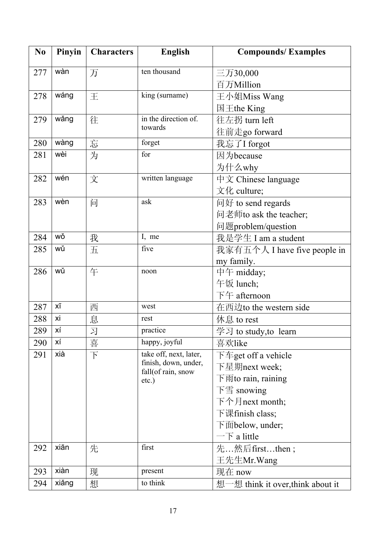| N <sub>0</sub> | Pinyin | <b>Characters</b> | <b>English</b>                                 | <b>Compounds/Examples</b>                                     |  |
|----------------|--------|-------------------|------------------------------------------------|---------------------------------------------------------------|--|
| 277            | wàn    | 万                 | ten thousand                                   | 三万30,000                                                      |  |
|                |        |                   |                                                | 百万Million                                                     |  |
| 278            | wáng   | 王                 | king (surname)                                 | 王小姐Miss Wang                                                  |  |
|                |        |                   |                                                | 国王the King                                                    |  |
| 279            | wǎng   | 往                 | in the direction of.                           | 往左拐 turn left                                                 |  |
|                |        |                   | towards                                        | 往前走go forward                                                 |  |
| 280            | wàng   | 忘                 | forget                                         | 我忘了I forgot                                                   |  |
| 281            | wèi    | 为                 | for                                            | 因为because                                                     |  |
|                |        |                   |                                                | 为什么why                                                        |  |
| 282            | wén    | 文                 | written language                               | 中文 Chinese language                                           |  |
|                |        |                   |                                                | $\overline{\mathcal{X}}$ $\mathcal{Y}$ culture;               |  |
| 283            | wèn    | 问                 | ask                                            | 问好 to send regards                                            |  |
|                |        |                   |                                                | 问老师to ask the teacher;                                        |  |
|                |        |                   |                                                | 问题problem/question                                            |  |
| 284            | wǒ     | 我                 | I, me                                          | 我是学生 I am a student                                           |  |
| 285            | wǔ     | 五                 | five                                           | 我家有五个人 I have five people in                                  |  |
|                |        |                   |                                                | my family.                                                    |  |
| 286            | wǔ     | 午                 | noon                                           | 中午 midday;                                                    |  |
|                |        |                   |                                                | 午饭 lunch;                                                     |  |
|                |        |                   |                                                | 下午 afternoon                                                  |  |
| 287            | χī     | 西                 | west                                           | 在西边to the western side                                        |  |
| 288            | xi     | 息                 | rest                                           | 休息 to rest                                                    |  |
| 289            | хí     | 习                 | practice                                       | 学习 to study, to learn                                         |  |
| 290            | ХÍ     | 喜                 | happy, joyful                                  | 喜欢like                                                        |  |
| 291            | xià    | $\top$            | take off, next, later,<br>finish, down, under, | 下车get off a vehicle                                           |  |
|                |        |                   | fall(of rain, snow                             | 下星期next week;                                                 |  |
|                |        |                   | $etc.$ )                                       | 下雨to rain, raining                                            |  |
|                |        |                   |                                                | 下雪 snowing                                                    |  |
|                |        |                   |                                                | 下个月next month;                                                |  |
|                |        |                   |                                                | 下课finish class;                                               |  |
|                |        |                   |                                                | $\overline{\mathrm{F}}$ $\overline{\mathrm{m}}$ below, under; |  |
|                |        |                   |                                                | $-\overline{\mathcal{F}}$ a little                            |  |
| 292            | xiān   | 先                 | first                                          | 先…然后firstthen;                                                |  |
|                |        |                   |                                                | 王先生Mr.Wang                                                    |  |
| 293            | xiàn   | 现                 | present                                        | 现在 now                                                        |  |
| 294            | xiǎng  | 想                 | to think                                       | 想一想 think it over, think about it                             |  |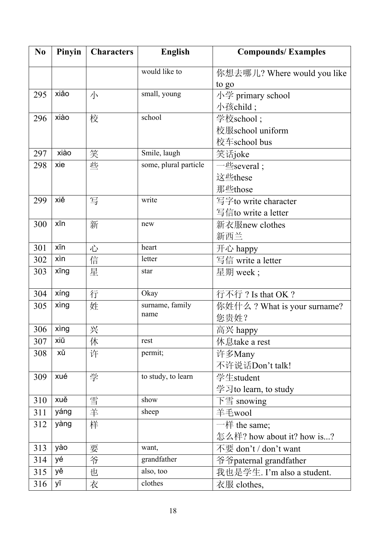| N <sub>0</sub> | Pinyin | <b>Characters</b> | <b>English</b>        | <b>Compounds/Examples</b>        |
|----------------|--------|-------------------|-----------------------|----------------------------------|
|                |        |                   | would like to         | 你想去哪儿? Where would you like      |
|                |        |                   |                       | to go                            |
| 295            | xiǎo   | 小                 | small, young          | 小学 primary school                |
|                |        |                   |                       | 小孩child;                         |
| 296            | xiào   | 校                 | school                | 学校school;                        |
|                |        |                   |                       | 校服school uniform                 |
|                |        |                   |                       | 校车school bus                     |
| 297            | xiào   | 笑                 | Smile, laugh          | 笑话joke                           |
| 298            | xie    | 些                 | some, plural particle | $-\underline{\text{#}}$ several; |
|                |        |                   |                       | 这些these                          |
|                |        |                   |                       | 那些those                          |
| 299            | xiě    | 写                 | write                 | 写字to write character             |
|                |        |                   |                       | 写信to write a letter              |
| 300            | xīn    | 新                 | new                   | 新衣服new clothes                   |
|                |        |                   |                       | 新西兰                              |
| 301            | xīn    | 心                 | heart                 | 开心 happy                         |
| 302            | xìn    | 信                 | letter                | 写信 write a letter                |
| 303            | xīng   | 星                 | star                  | 星期 week;                         |
| 304            | xíng   | 行                 | Okay                  | 行不行? Is that OK?                 |
| 305            | xing   | 姓                 | surname, family       | 你姓什么? What is your surname?      |
|                |        |                   | name                  | 您贵姓?                             |
| 306            | xing   | 兴                 |                       | 高兴 happy                         |
| 307            | xiū    | 休                 | rest                  | 休息take a rest                    |
| 308            | хŭ     | 许                 | permit;               | 许多Many                           |
|                |        |                   |                       | 不许说话Don't talk!                  |
| 309            | xué    | 学                 | to study, to learn    | 学生student                        |
|                |        |                   |                       | 学习to learn, to study             |
| 310            | xuě    | 雪                 | show                  | 下雪 snowing                       |
| 311            | yáng   | 羊                 | sheep                 | 羊毛wool                           |
| 312            | yàng   | 样                 |                       | $-\n#$ the same;                 |
|                |        |                   |                       | 怎么样? how about it? how is?       |
| 313            | yào    | 要                 | want,                 | 不要 don't / don't want            |
| 314            | yé     | 爷                 | grandfather           | 爷爷paternal grandfather           |
| 315            | yě     | 也                 | also, too             | 我也是学生. I'm also a student.       |
| 316            | уī     | 衣                 | clothes               | 衣服 clothes,                      |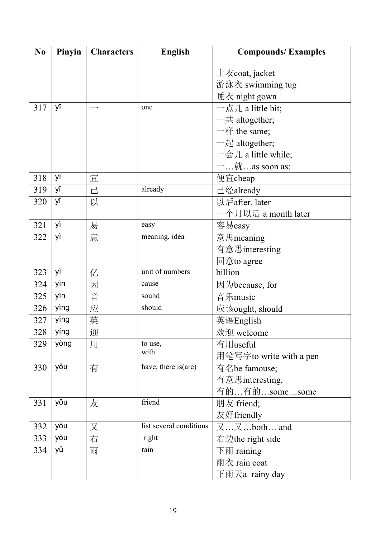| N <sub>0</sub> | Pinyin | <b>Characters</b> | <b>English</b>          | <b>Compounds/Examples</b>               |  |
|----------------|--------|-------------------|-------------------------|-----------------------------------------|--|
|                |        |                   |                         | $\pm \bar{\kappa}$ coat, jacket         |  |
|                |        |                   |                         | 游泳衣 swimming tug                        |  |
|                |        |                   |                         | 睡衣 night gown                           |  |
| 317            | уī     |                   | one                     | 一点儿 a little bit;                       |  |
|                |        |                   |                         | $-\frac{1}{2}$ altogether;              |  |
|                |        |                   |                         | $-$ 样 the same;                         |  |
|                |        |                   |                         | $-\text{\&}$ altogether;                |  |
|                |        |                   |                         | $-\frac{1}{2}$ /L a little while;       |  |
|                |        |                   |                         | $-$ , $\overline{\text{m}}$ as soon as; |  |
| 318            | yì     | 宜                 |                         | 便宜cheap                                 |  |
| 319            | уĭ     | 已                 | already                 | 已经already                               |  |
| 320            | уĭ     | 以                 |                         | 以后after, later                          |  |
|                |        |                   |                         | 一个月以后 a month later                     |  |
| 321            | yì     | 易                 | easy                    | 容易easy                                  |  |
| 322            | yì     | 意                 | meaning, idea           | 意思meaning                               |  |
|                |        |                   |                         | 有意思interesting                          |  |
|                |        |                   |                         | 同意to agree                              |  |
| 323            | yì     | 亿                 | unit of numbers         | billion                                 |  |
| 324            | yīn    | 因                 | cause                   | 因为because, for                          |  |
| 325            | yīn    | 音                 | sound                   | 音乐music                                 |  |
| 326            | yìng   | 应                 | should                  | 应该ought, should                         |  |
| 327            | yīng   | 英                 |                         | 英语English                               |  |
| 328            | yíng   | 迎                 |                         | 欢迎 welcome                              |  |
| 329            | yòng   | 用                 | to use,                 | 有用useful                                |  |
|                |        |                   | with                    | 用笔写字to write with a pen                 |  |
| 330            | yǒu    | 有                 | have, there is (are)    | 有名be famouse;                           |  |
|                |        |                   |                         | 有意思interesting,                         |  |
|                |        |                   |                         | 有的有的somesome                            |  |
| 331            | yǒu    | 友                 | friend                  | 朋友 friend;                              |  |
|                |        |                   |                         | 友好friendly                              |  |
| 332            | yòu    | 又                 | list several conditions | $\chi$ $\chi$ both and                  |  |
| 333            | yòu    | 右                 | right                   | 右边the right side                        |  |
| 334            | уŭ     | 雨                 | rain                    | 下雨 raining                              |  |
|                |        |                   |                         | 雨衣 rain coat                            |  |
|                |        |                   |                         | 下雨天a rainy day                          |  |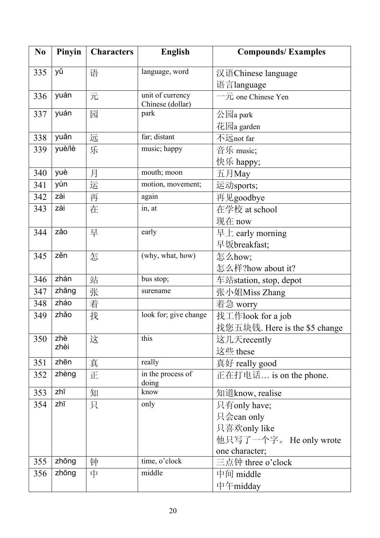| N <sub>0</sub> | Pinyin | <b>Characters</b> | <b>English</b>                       | <b>Compounds/Examples</b>         |  |
|----------------|--------|-------------------|--------------------------------------|-----------------------------------|--|
| 335            | уŭ     | 语                 | language, word                       | 汉语Chinese language                |  |
|                |        |                   | 语言language                           |                                   |  |
| 336            | yuán   | 元                 | unit of currency<br>Chinese (dollar) | $-\overline{\pi}$ one Chinese Yen |  |
| 337            | yuán   | 园                 | park                                 | 公园a park                          |  |
|                |        |                   |                                      | 花园a garden                        |  |
| 338            | yuǎn   | 远                 | far; distant                         | 不远not far                         |  |
| 339            | yuè/lè | 乐                 | music; happy                         | 音乐 music;                         |  |
|                |        |                   |                                      | 快乐 happy;                         |  |
| 340            | yuè    | 月                 | mouth; moon                          | 五月May                             |  |
| 341            | yùn    | 运                 | motion, movement;                    | 运动sports;                         |  |
| 342            | zài    | 再                 | again                                | 再见goodbye                         |  |
| 343            | zài    | 在                 | in, at                               | 在学校 at school                     |  |
|                |        |                   |                                      | 现在 now                            |  |
| 344            | zǎo    | 早                 | early                                | 早上 early morning                  |  |
|                |        |                   |                                      | 早饭breakfast;                      |  |
| 345            | zěn    | 怎                 | (why, what, how)                     | 怎么how;                            |  |
|                |        |                   |                                      | 怎么样?how about it?                 |  |
| 346            | zhàn   | 站                 | bus stop;                            | 车站station, stop, depot            |  |
| 347            | zhāng  | 张                 | surename                             | 张小姐Miss Zhang                     |  |
| 348            | zháo   | 着                 |                                      | 着急 worry                          |  |
| 349            | zhǎo   | 找                 | look for; give change                | 找工作look for a job                 |  |
|                |        |                   |                                      | 找您五块钱. Here is the \$5 change     |  |
| 350            | zhè    | 这                 | this                                 | 这几天recently                       |  |
|                | zhèi   |                   |                                      | 这些 these                          |  |
| 351            | zhēn   | 真                 | really                               | 真好 really good                    |  |
| 352            | zhèng  | 正                 | in the process of<br>doing           | 正在打电话 is on the phone.            |  |
| 353            | zhī    | 知                 | know                                 | 知道know, realise                   |  |
| 354            | zhī    | 只                 | only                                 | 只有only have;                      |  |
|                |        |                   |                                      | 只会can only                        |  |
|                |        |                   |                                      | 只喜欢only like                      |  |
|                |        |                   |                                      | 他只写了一个字。 He only wrote            |  |
|                |        |                   |                                      | one character;                    |  |
| 355            | zhōng  | 钟                 | time, o'clock                        | 三点钟 three o'clock                 |  |
| 356            | zhōng  | 中                 | middle                               | 中间 middle                         |  |
|                |        |                   |                                      | 中午midday                          |  |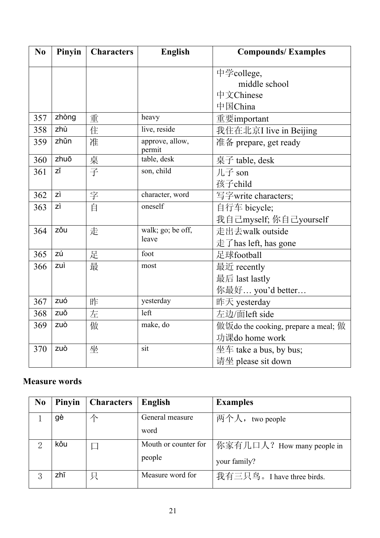| No  | Pinyin | <b>Characters</b> | English                   | <b>Compounds/Examples</b>                        |
|-----|--------|-------------------|---------------------------|--------------------------------------------------|
|     |        |                   |                           | 中学college,                                       |
|     |        |                   |                           | middle school                                    |
|     |        |                   |                           | 中文Chinese                                        |
|     |        |                   |                           | 中国China                                          |
| 357 | zhòng  | 重                 | heavy                     | 重要important                                      |
| 358 | zhù    | 住                 | live, reside              | 我住在北京I live in Beijing                           |
| 359 | zhǔn   | 准                 | approve, allow,<br>permit | 准备 prepare, get ready                            |
| 360 | zhuō   | 桌                 | table, desk               | 桌子 table, desk                                   |
| 361 | zĭ     | 子                 | son, child                | 儿子 son                                           |
|     |        |                   |                           | 孩子child                                          |
| 362 | zì     | 字                 | character, word           | 写字write characters;                              |
| 363 | zì     | 自                 | oneself                   | 自行车 bicycle;                                     |
|     |        |                   |                           | 我自己myself; 你自己yourself                           |
| 364 | zŏu    | 走                 | walk; go; be off,         | 走出去walk outside                                  |
|     |        |                   | leave                     | $\pm$ $\overline{\mathrm{f}}$ has left, has gone |
| 365 | zú     | 足                 | foot                      | 足球football                                       |
| 366 | zuì    | 最                 | most                      | 最近 recently                                      |
|     |        |                   |                           | 最后 last lastly                                   |
|     |        |                   |                           | 你最好 you'd better                                 |
| 367 | zuó    | 昨                 | yesterday                 | 昨天 yesterday                                     |
| 368 | zuǒ    | 左                 | left                      | 左边/面left side                                    |
| 369 | zuò    | 做                 | make, do                  | 做饭do the cooking, prepare a meal; 做              |
|     |        |                   |                           | 功课do home work                                   |
| 370 | zuò    | 坐                 | sit                       | 坐车 take a bus, by bus;                           |
|     |        |                   |                           | 请坐 please sit down                               |

### **Measure words**

| N <sub>0</sub> | Pinyin | <b>Characters</b> | English                        | <b>Examples</b>                            |
|----------------|--------|-------------------|--------------------------------|--------------------------------------------|
|                | gè     |                   | General measure<br>word        | 两个人, two people                            |
|                | kŏu    |                   | Mouth or counter for<br>people | 你家有几口人? How many people in<br>your family? |
|                | zhī    | 只                 | Measure word for               | 我有三只鸟。I have three birds.                  |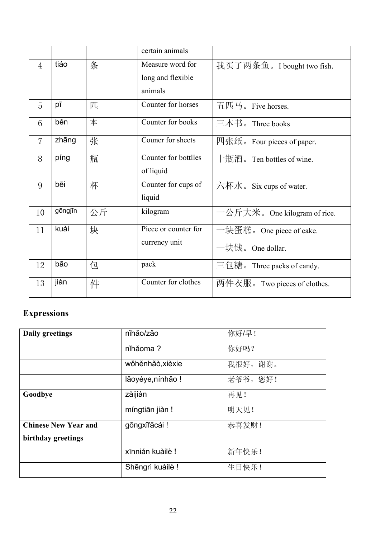|                |         |    | certain animals      |                                    |
|----------------|---------|----|----------------------|------------------------------------|
| $\overline{4}$ | tiáo    | 条  | Measure word for     | 我买了两条鱼。I bought two fish.          |
|                |         |    | long and flexible    |                                    |
|                |         |    | animals              |                                    |
| 5              | pī      | 匹  | Counter for horses   | 五匹马。Five horses.                   |
| 6              | běn     | 本  | Counter for books    | 三本书。Three books                    |
| $\overline{7}$ | zhāng   | 张  | Couner for sheets    | 四张纸。Four pieces of paper.          |
| 8              | píng    | 瓶  | Counter for bottlles | 十瓶酒。Ten bottles of wine.           |
|                |         |    | of liquid            |                                    |
| 9              | bēi     | 杯  | Counter for cups of  | 六杯水。Six cups of water.             |
|                |         |    | liquid               |                                    |
| 10             | gōngjīn | 公斤 | kilogram             | 一公斤大米。One kilogram of rice.        |
| 11             | kuài    | 块  | Piece or counter for | 一块蛋糕。One piece of cake.            |
|                |         |    | currency unit        | 一块钱。One dollar.                    |
| 12             | bāo     | 包  | pack                 | $\equiv$ 包糖. Three packs of candy. |
| 13             | jiàn    | 件  | Counter for clothes  | 两件衣服。Two pieces of clothes.        |

# **Expressions**

| <b>Daily greetings</b>      | níhǎo/zǎo         | 你好/早!    |
|-----------------------------|-------------------|----------|
|                             | níhảoma?          | 你好吗?     |
|                             | wǒhěnhǎò, xièxie  | 我很好, 谢谢。 |
|                             | lăoyéye, nínhão ! | 老爷爷,您好!  |
| Goodbye                     | zàijiàn           | 再见!      |
|                             | míngtiān jiàn !   | 明天见!     |
| <b>Chinese New Year and</b> | gōngxĭfācái !     | 恭喜发财!    |
| birthday greetings          |                   |          |
|                             | xīnnián kuàilè!   | 新年快乐!    |
|                             | Shēngrì kuàilè !  | 生日快乐!    |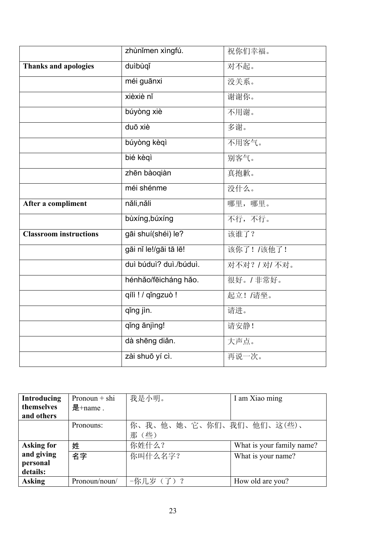|                               | zhùnǐmen xìngfú.       | 祝你们幸福。        |
|-------------------------------|------------------------|---------------|
| <b>Thanks and apologies</b>   | duìbùqǐ                | 对不起。          |
|                               | méi guānxi             | 没关系。          |
|                               | xièxiè nǐ              | 谢谢你。          |
|                               | búyòng xiè             | 不用谢。          |
|                               | duō xiè                | 多谢。           |
|                               | búyòng kèqì            | 不用客气。         |
|                               | bié kègì               | 别客气。          |
|                               | zhēn bàoqiàn           | 真抱歉。          |
|                               | méi shénme             | 没什么。          |
| After a compliment            | năli, năli             | 哪里,哪里。        |
|                               | bùxíng, búxíng         | 不行,不行。        |
| <b>Classroom instructions</b> | gāi shuí(shéi) le?     | 该谁了?          |
|                               | gāi nǐ le!/gāi tā lē!  | 该你了!/该他了!     |
|                               | duì búduì? duì./búduì. | 对不对? / 对/ 不对。 |
|                               | hénhǎo/fēicháng hǎo.   | 很好。/非常好。      |
|                               | qílì ! / qǐngzuò !     | 起立!/请坐。       |
|                               | qing jin.              | 请进。           |
|                               | qing ānjing!           | 请安静!          |
|                               | dà shēng diǎn.         | 大声点。          |
|                               | zài shuō yí cì.        | 再说一次。         |

| <b>Introducing</b> | Pronoun $+$ shi | 我是小明。                    | I am Xiao ming            |
|--------------------|-----------------|--------------------------|---------------------------|
| themselves         | 是 $+$ name.     |                          |                           |
| and others         |                 |                          |                           |
|                    | Pronouns:       | 你、我、他、她、它、你们、我们、他们、这(些)、 |                           |
|                    |                 | 那(些)                     |                           |
| <b>Asking for</b>  | 姓               | 你姓什么?                    | What is your family name? |
| and giving         | 名字              | 你叫什么名字?                  | What is your name?        |
| personal           |                 |                          |                           |
| details:           |                 |                          |                           |
| <b>Asking</b>      | Pronoun/noun/   | -你几岁(了)?                 | How old are you?          |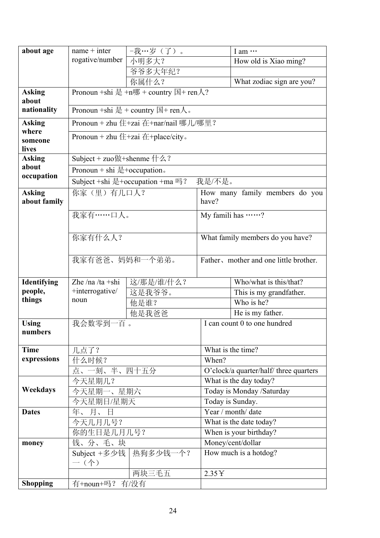| about age                     | $name + inter$                   | 一我…岁(了)。                                     |                                        | I am                                   |  |
|-------------------------------|----------------------------------|----------------------------------------------|----------------------------------------|----------------------------------------|--|
|                               | rogative/number                  | 小明多大?                                        |                                        | How old is Xiao ming?                  |  |
|                               |                                  | 爷爷多大年纪?                                      |                                        |                                        |  |
|                               |                                  | 你属什么?                                        |                                        | What zodiac sign are you?              |  |
| <b>Asking</b><br>about        |                                  | Pronoun +shi 是 +n哪 + country 国+ ren人?        |                                        |                                        |  |
| nationality                   |                                  | Pronoun +shi 是 + country 国 + ren $\lambda$ . |                                        |                                        |  |
| <b>Asking</b>                 |                                  | Pronoun + zhu 住+zai 在+nar/nail 哪儿/哪里?        |                                        |                                        |  |
| where<br>someone<br>lives     |                                  | Pronoun + zhu 住+zai 在+place/city.            |                                        |                                        |  |
| <b>Asking</b>                 | Subject + zuo做+shenme $\#2$ ?    |                                              |                                        |                                        |  |
| about                         | Pronoun + shi $\pm$ +occupation. |                                              |                                        |                                        |  |
| occupation                    |                                  | Subject +shi 是+occupation +ma 吗?             | 我是/不是。                                 |                                        |  |
| <b>Asking</b><br>about family | 你家(里)有几口人?                       |                                              | have?                                  | How many family members do you         |  |
|                               | 我家有 …… 口人。                       |                                              |                                        | My famili has ?                        |  |
|                               | 你家有什么人?                          |                                              |                                        | What family members do you have?       |  |
|                               | 我家有爸爸、妈妈和一个弟弟。                   |                                              |                                        | Father, mother and one little brother. |  |
| Identifying                   | Zhe /na /ta +shi                 | 这/那是/谁/什么?                                   |                                        | Who/what is this/that?                 |  |
| people,                       | +interrogative/                  | 这是我爷爷。                                       |                                        | This is my grandfather.                |  |
| things                        | noun                             | 他是谁?                                         |                                        | Who is he?                             |  |
|                               |                                  | 他是我爸爸                                        |                                        | He is my father.                       |  |
| <b>Using</b><br>numbers       | 我会数零到一百。                         |                                              |                                        | I can count 0 to one hundred           |  |
| <b>Time</b>                   | 几点了?                             |                                              |                                        | What is the time?                      |  |
| expressions                   | 什么时候?                            |                                              | When?                                  |                                        |  |
|                               | 点、一刻、半、四十五分                      |                                              | O'clock/a quarter/half/ three quarters |                                        |  |
|                               | 今天星期几?                           |                                              | What is the day today?                 |                                        |  |
| Weekdays                      | 今天星期一、星期六                        |                                              | Today is Monday /Saturday              |                                        |  |
|                               | 今天星期日/星期天                        |                                              | Today is Sunday.                       |                                        |  |
| <b>Dates</b>                  | 年、月、日                            |                                              | Year / month/ date                     |                                        |  |
|                               | 今天几月几号?                          |                                              | What is the date today?                |                                        |  |
|                               | 你的生日是几月几号?                       |                                              | When is your birthday?                 |                                        |  |
| money                         | 钱、分、毛、块                          |                                              | Money/cent/dollar                      |                                        |  |
|                               | Subject +多少钱<br>$-$ (个)          | 热狗多少钱一个?                                     |                                        | How much is a hotdog?                  |  |
|                               |                                  | 两块三毛五                                        | 2.35Y                                  |                                        |  |
| <b>Shopping</b>               | 有+noun+吗? 有/没有                   |                                              |                                        |                                        |  |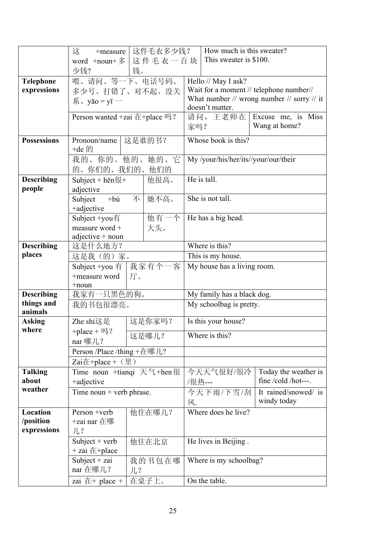|                    | 这件毛衣多少钱?<br>这<br>+measure                                           |        |        | How much is this sweater?                        |                                      |                                         |
|--------------------|---------------------------------------------------------------------|--------|--------|--------------------------------------------------|--------------------------------------|-----------------------------------------|
|                    | 这件毛衣一百块<br>word $+$ noun $+$ $\frac{2}{3}$                          |        |        |                                                  | This sweater is \$100.               |                                         |
|                    | 少钱?<br>钱。                                                           |        |        |                                                  |                                      |                                         |
| <b>Telephone</b>   | 喂、请问、等一下、电话号码、                                                      |        |        |                                                  | Hello // May I ask?                  |                                         |
| expressions        | 多少号、打错了、对不起、没关                                                      |        |        |                                                  |                                      | Wait for a moment // telephone number// |
|                    | $\overline{\mathcal{F}}$ , yāo = yī —                               |        |        | What number $//$ wrong number $//$ sorry $//$ it |                                      |                                         |
|                    |                                                                     |        |        |                                                  | doesn't matter.                      |                                         |
|                    | Person wanted +zai 在+place 吗?                                       |        |        | 请问,王老师在                                          | Excuse me, is Miss                   |                                         |
|                    |                                                                     |        |        | 家吗?                                              |                                      | Wang at home?                           |
| <b>Possessions</b> | Pronoun/name                                                        |        | 这是谁的书? |                                                  | Whose book is this?                  |                                         |
|                    | +de 的                                                               |        |        |                                                  |                                      |                                         |
|                    | 我的、你的、他的、她的、它                                                       |        |        |                                                  | My /your/his/her/its//your/our/their |                                         |
|                    | 的、你们的、我们的、                                                          |        | 他们的    |                                                  |                                      |                                         |
| <b>Describing</b>  | Subject + hěn $\frac{\pi}{k+1}$                                     |        | 他很高。   |                                                  | He is tall.                          |                                         |
| people             | adjective                                                           |        |        |                                                  |                                      |                                         |
|                    | Subject<br>$+b \dot{u}$                                             |        | 不 她不高。 |                                                  | She is not tall.                     |                                         |
|                    | +adjective                                                          |        |        |                                                  |                                      |                                         |
|                    | Subject +you有                                                       |        | 他有一个   |                                                  | He has a big head.                   |                                         |
|                    | measure word +                                                      |        | 大头。    |                                                  |                                      |                                         |
| <b>Describing</b>  | $adjective + noun$                                                  |        |        |                                                  |                                      |                                         |
| places             | 这是什么地方?                                                             |        |        | Where is this?<br>This is my house.              |                                      |                                         |
|                    | 这是我(的)家。                                                            |        |        | My house has a living room.                      |                                      |                                         |
|                    | 我家有个一客<br>Subject +you $\bar{f}$<br>+measure word<br>厅。<br>$+$ noun |        |        |                                                  |                                      |                                         |
|                    |                                                                     |        |        |                                                  |                                      |                                         |
| <b>Describing</b>  | 我家有一只黑色的狗。                                                          |        |        |                                                  | My family has a black dog.           |                                         |
| things and         | 我的书包很漂亮。                                                            |        |        | My schoolbag is pretty.                          |                                      |                                         |
| animals            |                                                                     |        |        |                                                  |                                      |                                         |
| <b>Asking</b>      | Zhe shi这是                                                           |        | 这是你家吗? |                                                  | Is this your house?                  |                                         |
| where              | +place + $\mathbb{E}$ ?                                             |        | 这是哪儿?  |                                                  | Where is this?                       |                                         |
|                    | nar 哪儿?                                                             |        |        |                                                  |                                      |                                         |
|                    | Person /Place /thing +在哪儿?                                          |        |        |                                                  |                                      |                                         |
|                    | Zai在+place + $(\mathbb{H})$                                         |        |        |                                                  |                                      |                                         |
| <b>Talking</b>     | Time noun +tianqi 天气+hen很                                           |        |        |                                                  | 今天天气很好/很冷                            | Today the weather is                    |
| about              | +adjective                                                          |        |        | /很热---                                           |                                      | fine /cold /hot---.                     |
| weather            | Time noun + verb phrase.                                            |        |        |                                                  | 今天下雨/下雪/刮                            | It rained/snowed/ is                    |
|                    |                                                                     |        | 风.     |                                                  | windy today                          |                                         |
| Location           | Person +verb                                                        |        | 他住在哪儿? |                                                  | Where does he live?                  |                                         |
| /position          | +zai nar 在哪                                                         |        |        |                                                  |                                      |                                         |
| expressions        | 儿?                                                                  |        |        |                                                  |                                      |                                         |
|                    | Subject + $verb$                                                    |        | 他住在北京  |                                                  | He lives in Beijing.                 |                                         |
|                    | $+$ zai $#$ +place                                                  |        |        |                                                  |                                      |                                         |
|                    | Subject + zai                                                       |        | 我的书包在哪 |                                                  | Where is my schoolbag?               |                                         |
|                    | nar 在哪儿?                                                            | $JL$ ? |        |                                                  |                                      |                                         |
|                    | zai $E$ + place +                                                   |        | 在桌子上。  |                                                  | On the table.                        |                                         |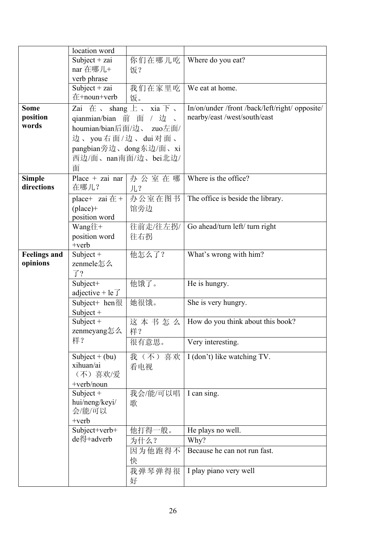|                     | location word                     |             |                                              |
|---------------------|-----------------------------------|-------------|----------------------------------------------|
|                     | Subject + zai                     | 你们在哪儿吃      | Where do you eat?                            |
|                     | nar 在哪儿+                          | 饭?          |                                              |
|                     | verb phrase                       |             |                                              |
|                     | Subject + $zai$                   | 我们在家里吃      | We eat at home.                              |
|                     | 在+noun+verb                       | 饭。          |                                              |
| <b>Some</b>         | Zai $\pm$ shang $\pm$ sia $\mp$ s |             | In/on/under/front/back/left/right/ opposite/ |
| position            | qianmian/bian 前                   | 面<br>/ 边、   | nearby/east/west/south/east                  |
| words               | houmian/bian后面/边、                 | zuo左面/      |                                              |
|                     | 边、you右面/边、dui对面、                  |             |                                              |
|                     | pangbian旁边、dong东边/面、xi            |             |                                              |
|                     | 西边/面、nan南面/边、bei北边/               |             |                                              |
|                     | 面                                 |             |                                              |
| <b>Simple</b>       | Place $+$ zai nar                 | 办公室在哪       | Where is the office?                         |
| directions          | 在哪儿?                              | $JL$ ?      |                                              |
|                     | place+ zai $#$ +                  | 办公室在图书      | The office is beside the library.            |
|                     | $(place)+$                        | 馆旁边         |                                              |
|                     | position word                     |             |                                              |
|                     | Wang往+                            | 往前走/往左拐/    | Go ahead/turn left/ turn right               |
|                     | position word                     | 往右拐         |                                              |
|                     | $+$ verb                          |             |                                              |
| <b>Feelings and</b> | Subject +                         | 他怎么了?       | What's wrong with him?                       |
| opinions            | zenmele怎么                         |             |                                              |
|                     | $\overline{J}$ ?                  |             |                                              |
|                     | Subject+                          | 他饿了。        | He is hungry.                                |
|                     | adjective + le $\overline{J}$     |             |                                              |
|                     | Subject+ hen $R$                  | 她很饿。        | She is very hungry.                          |
|                     | Subject $+$                       |             |                                              |
|                     | Subject $+$                       | 这本书怎么       | How do you think about this book?            |
|                     | zenmeyang怎么                       | 样?          |                                              |
|                     | 样?                                | 很有意思。       | Very interesting.                            |
|                     | Subject + $(bu)$                  | 我(不)喜欢      | I (don't) like watching TV.                  |
|                     | xihuan/ai                         | 看电视         |                                              |
|                     | (不)喜欢/爱                           |             |                                              |
|                     | $+$ verb/noun                     |             |                                              |
|                     | Subject $+$                       | 我会/能/可以唱    | I can sing.                                  |
|                     | hui/neng/keyi/                    | 歌           |                                              |
|                     | 会/能/可以                            |             |                                              |
|                     | $+$ verb                          |             |                                              |
|                     | Subject+verb+                     | 他打得-<br>一般。 | He plays no well.                            |
|                     | de得+adverb                        | 为什么?        | Why?                                         |
|                     |                                   | 因为他跑得不      | Because he can not run fast.                 |
|                     |                                   | 快           |                                              |
|                     |                                   | 我弹琴弹得很      | I play piano very well                       |
|                     |                                   | 好           |                                              |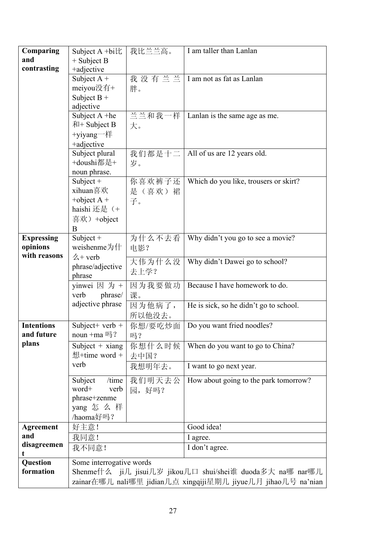| Comparing         | Subject A +bi比                                                | 我比兰兰高。           | I am taller than Lanlan                                   |  |
|-------------------|---------------------------------------------------------------|------------------|-----------------------------------------------------------|--|
| and               | $+$ Subject B                                                 |                  |                                                           |  |
| contrasting       | +adjective                                                    |                  |                                                           |  |
|                   | Subject $A +$                                                 | 我没有兰兰            | I am not as fat as Lanlan                                 |  |
|                   | meiyou没有+                                                     | 胖。               |                                                           |  |
|                   | Subject $B +$                                                 |                  |                                                           |  |
|                   | adjective                                                     |                  |                                                           |  |
|                   | Subject A +he                                                 | 兰兰和我一样           | Lanlan is the same age as me.                             |  |
|                   | $#H +$ Subject B                                              | 大。               |                                                           |  |
|                   | +yiyang一样                                                     |                  |                                                           |  |
|                   | +adjective                                                    |                  |                                                           |  |
|                   | Subject plural<br>+doushi都是+                                  | 我们都是十二           | All of us are 12 years old.                               |  |
|                   |                                                               | 岁。               |                                                           |  |
|                   | noun phrase.                                                  |                  | Which do you like, trousers or skirt?                     |  |
|                   | Subject $+$<br>xihuan喜欢                                       | 你喜欢裤子还<br>是(喜欢)裙 |                                                           |  |
|                   | +object $A +$                                                 |                  |                                                           |  |
|                   | haishi 还是 (+                                                  | 子。               |                                                           |  |
|                   | 喜欢) +object                                                   |                  |                                                           |  |
|                   | B                                                             |                  |                                                           |  |
| <b>Expressing</b> | Subject $+$                                                   | 为什么不去看           | Why didn't you go to see a movie?                         |  |
| opinions          | weishenme为什                                                   | 电影?              |                                                           |  |
| with reasons      | $\measuredangle$ + verb                                       |                  |                                                           |  |
|                   | phrase/adjective                                              | 大伟为什么没           | Why didn't Dawei go to school?                            |  |
|                   | phrase                                                        | 去上学?             |                                                           |  |
|                   | yinwei 因 为 +                                                  | 因为我要做功           | Because I have homework to do.                            |  |
|                   | phrase/<br>verb                                               | 课。               |                                                           |  |
|                   | adjective phrase                                              | 因为他病了,           | He is sick, so he didn't go to school.                    |  |
|                   |                                                               | 所以他没去。           |                                                           |  |
| <b>Intentions</b> | Subject + verb +                                              | 你想/要吃炒面          | Do you want fried noodles?                                |  |
| and future        | noun +ma 吗?                                                   | 吗?               |                                                           |  |
| plans             | Subject $+$ xiang                                             | 你想什么时候           | When do you want to go to China?                          |  |
|                   | 想+time word +                                                 | 去中国?             |                                                           |  |
|                   | verb                                                          | 我想明年去。           | I want to go next year.                                   |  |
|                   | /time<br>Subject                                              | 我们明天去公           | How about going to the park tomorrow?                     |  |
|                   | word+<br>verb                                                 | 园,好吗?            |                                                           |  |
|                   | phrase+zenme                                                  |                  |                                                           |  |
|                   | yang 怎 么 样                                                    |                  |                                                           |  |
|                   | /haoma好吗?                                                     |                  |                                                           |  |
| <b>Agreement</b>  | 好主意!                                                          |                  | Good idea!                                                |  |
| and               | 我同意!                                                          |                  | I agree.                                                  |  |
| disagreemen<br>t  | 我不同意!                                                         |                  | I don't agree.                                            |  |
| Question          | Some interrogative words                                      |                  |                                                           |  |
| formation         |                                                               |                  | Shenme什么 ji几 jisui几岁 jikou几口 shui/shei谁 duoda多大 na哪 nar哪儿 |  |
|                   | zainar在哪儿 nali哪里 jidian几点 xingqiji星期几 jiyue几月 jihao几号 na'nian |                  |                                                           |  |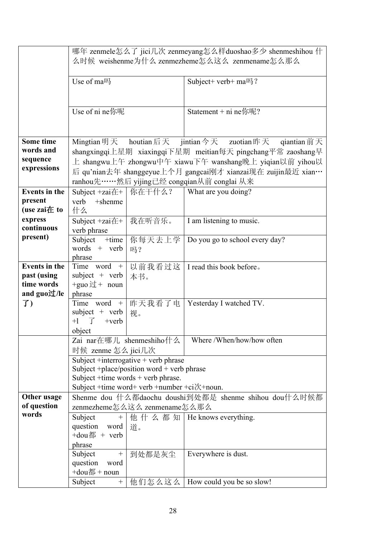|                                                                  | 哪年 zenmele怎么了 jici几次 zenmeyang怎么样duoshao多少 shenmeshihou 什<br>么时候 weishenme为什么 zenmezheme怎么这么 zenmename怎么那么                                                                                  |                          |                                                                                                                                                                                                                                                                                                   |  |
|------------------------------------------------------------------|---------------------------------------------------------------------------------------------------------------------------------------------------------------------------------------------|--------------------------|---------------------------------------------------------------------------------------------------------------------------------------------------------------------------------------------------------------------------------------------------------------------------------------------------|--|
|                                                                  | Use of ma吗                                                                                                                                                                                  |                          | Subject+ verb+ ma吗?                                                                                                                                                                                                                                                                               |  |
|                                                                  | Use of ni ne你呢                                                                                                                                                                              |                          | Statement + ni ne你呢?                                                                                                                                                                                                                                                                              |  |
| Some time<br>words and<br>sequence<br>expressions                |                                                                                                                                                                                             |                          | Mingtian 明天 houtian 后天 jintian 今天 zuotian 昨天 qiantian 前天<br>shangxingqi上星期 xiaxingqi下星期 meitian每天 pingchang平常 zaoshang早<br>上 shangwu上午 zhongwu中午 xiawu下午 wanshang晚上 yiqian以前 yihou以<br>后 qu'nian去年 shanggeyue上个月 gangcai刚才 xianzai现在 zuijin最近 xian…<br>ranhou先……然后 yijing已经 congqian从前 conglai 从来 |  |
| <b>Events in the</b><br>present<br>(use zai在 to                  | Subject $+zaiE+$<br>verb<br>+shenme<br>什么                                                                                                                                                   | 你在干什么?                   | What are you doing?                                                                                                                                                                                                                                                                               |  |
| express<br>continuous                                            | Subject $+zaiE+$<br>verb phrase                                                                                                                                                             | 我在听音乐。                   | I am listening to music.                                                                                                                                                                                                                                                                          |  |
| present)                                                         | Subject<br>+time<br>words $+$ verb<br>phrase                                                                                                                                                | 你每天去上学<br>吗?             | Do you go to school every day?                                                                                                                                                                                                                                                                    |  |
| <b>Events in the</b><br>past (using<br>time words<br>and guo过/le | Time word +<br>$subject + verb$<br>+guo $\overline{2}$ + noun<br>phrase                                                                                                                     | 以前我看过这<br>本书。            | I read this book before.                                                                                                                                                                                                                                                                          |  |
| 了)                                                               | Time word $+$<br>$subject + verb$<br>$+1$ 了<br>$+$ verb<br>object                                                                                                                           | 昨天我看了电<br>视。             | Yesterday I watched TV.                                                                                                                                                                                                                                                                           |  |
|                                                                  | 时候 zenme 怎么 jici几次                                                                                                                                                                          | Zai nar在哪儿 shenmeshiho什么 | Where /When/how/how often                                                                                                                                                                                                                                                                         |  |
|                                                                  | Subject $+$ interrogative $+$ verb phrase<br>Subject +place/position word + verb phrase<br>Subject $+$ time words $+$ verb phrase.<br>Subject +time word+ verb +number +ci $\forall$ +noun. |                          |                                                                                                                                                                                                                                                                                                   |  |
| Other usage<br>of question                                       | Shenme dou 什么都daochu doushi到处都是 shenme shihou dou什么时候都<br>zenmezheme怎么这么 zenmename怎么那么                                                                                                      |                          |                                                                                                                                                                                                                                                                                                   |  |
| words                                                            | Subject<br>$^{+}$<br>question word<br>+dou都 + verb<br>phrase                                                                                                                                | 他什么都知<br>道。              | He knows everything.                                                                                                                                                                                                                                                                              |  |
|                                                                  | Subject<br>question<br>word<br>+dou都 + noun                                                                                                                                                 | 到处都是灰尘                   | Everywhere is dust.                                                                                                                                                                                                                                                                               |  |
|                                                                  | Subject                                                                                                                                                                                     | 他们怎么这么                   | How could you be so slow!                                                                                                                                                                                                                                                                         |  |